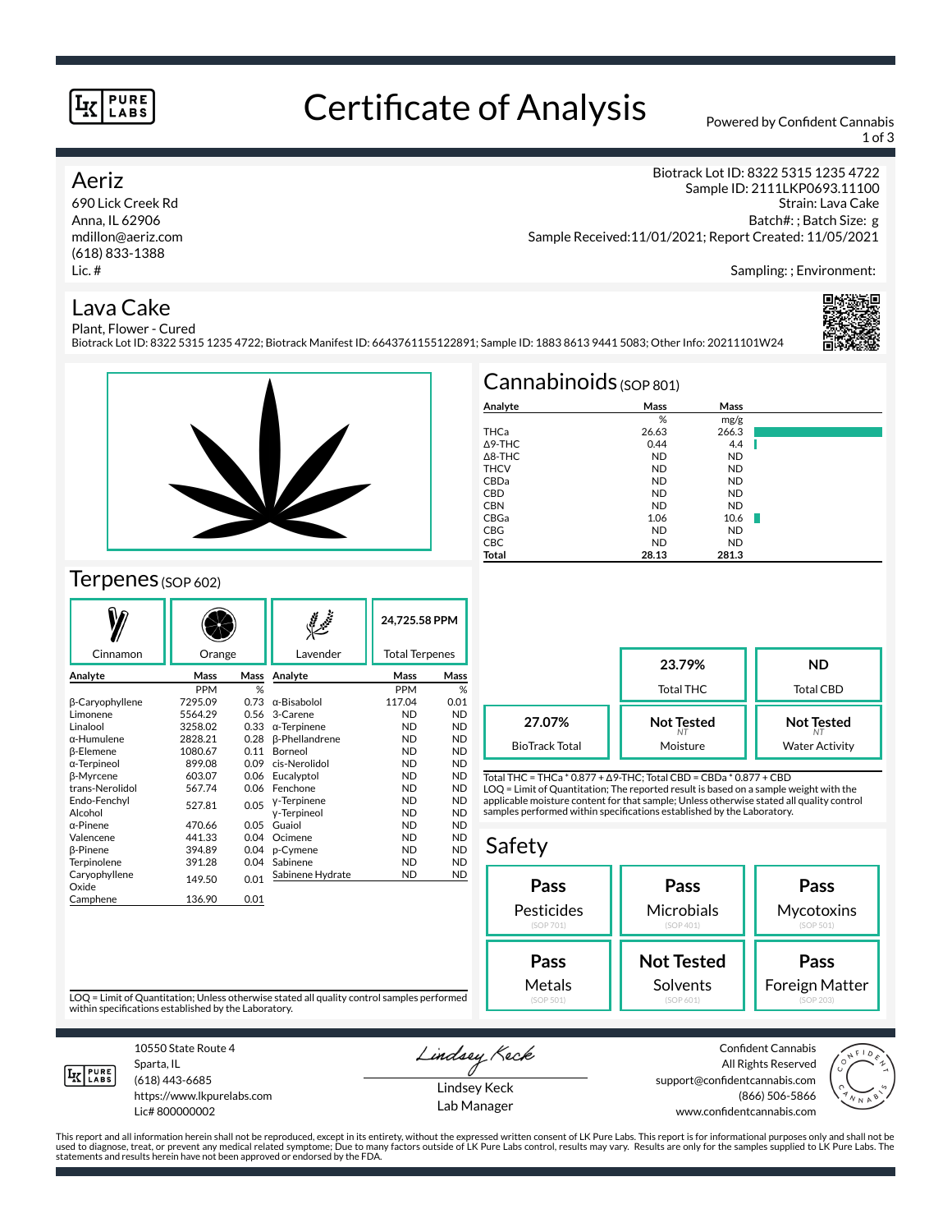#### **PURE** LABS

## Certificate of Analysis Powered by Confident Cannabis

1 of 3

#### Aeriz

690 Lick Creek Rd Anna, IL 62906 mdillon@aeriz.com (618) 833-1388 Lic. #

Biotrack Lot ID: 8322 5315 1235 4722 Sample ID: 2111LKP0693.11100 Strain: Lava Cake Batch#: ; Batch Size: g Sample Received:11/01/2021; Report Created: 11/05/2021

Sampling: ; Environment:

#### Lava Cake



Plant, Flower - Cured Biotrack Lot ID: 8322 5315 1235 4722; Biotrack Manifest ID: 6643761155122891; Sample ID: 1883 8613 9441 5083; Other Info: 20211101W24



#### Terpenes (SOP 602)

|                        |            |      |                       | 24.725.58 PPM         |           |
|------------------------|------------|------|-----------------------|-----------------------|-----------|
| Cinnamon               | Orange     |      | Lavender              | <b>Total Terpenes</b> |           |
| Analyte                | Mass       | Mass | Analyte               | Mass                  | Mass      |
|                        | <b>PPM</b> | %    |                       | <b>PPM</b>            | %         |
| β-Caryophyllene        | 7295.09    | 0.73 | $\alpha$ -Bisabolol   | 117.04                | 0.01      |
| Limonene               | 5564.29    | 0.56 | 3-Carene              | <b>ND</b>             | <b>ND</b> |
| Linalool               | 3258.02    | 0.33 | $\alpha$ -Terpinene   | <b>ND</b>             | <b>ND</b> |
| α-Humulene             | 2828.21    | 0.28 | <b>B-Phellandrene</b> | <b>ND</b>             | <b>ND</b> |
| <b>ß-Elemene</b>       | 1080.67    | 0.11 | <b>Borneol</b>        | <b>ND</b>             | <b>ND</b> |
| α-Terpineol            | 899.08     | 0.09 | cis-Nerolidol         | <b>ND</b>             | <b>ND</b> |
| <b>ß-Myrcene</b>       | 603.07     | 0.06 | Eucalyptol            | <b>ND</b>             | <b>ND</b> |
| trans-Nerolidol        | 567.74     | 0.06 | Fenchone              | <b>ND</b>             | <b>ND</b> |
| Endo-Fenchyl           | 527.81     | 0.05 | y-Terpinene           | <b>ND</b>             | <b>ND</b> |
| Alcohol                |            |      | y-Terpineol           | <b>ND</b>             | <b>ND</b> |
| $\alpha$ -Pinene       | 470.66     | 0.05 | Guaiol                | <b>ND</b>             | <b>ND</b> |
| Valencene              | 441.33     | 0.04 | Ocimene               | <b>ND</b>             | <b>ND</b> |
| <b>B-Pinene</b>        | 394.89     | 0.04 | p-Cymene              | <b>ND</b>             | <b>ND</b> |
| Terpinolene            | 391.28     | 0.04 | Sabinene              | <b>ND</b>             | <b>ND</b> |
| Caryophyllene<br>Oxide | 149.50     | 0.01 | Sabinene Hydrate      | <b>ND</b>             | <b>ND</b> |
| Camphene               | 136.90     | 0.01 |                       |                       |           |
|                        |            |      |                       |                       |           |

| $Cannabinoids$ (SOP 801) |           |           |  |  |  |  |
|--------------------------|-----------|-----------|--|--|--|--|
| Analyte                  | Mass      | Mass      |  |  |  |  |
|                          | %         | mg/g      |  |  |  |  |
| THCa                     | 26.63     | 266.3     |  |  |  |  |
| A9-THC                   | 0.44      | 4.4       |  |  |  |  |
| $\triangle$ 8-THC        | <b>ND</b> | <b>ND</b> |  |  |  |  |
| <b>THCV</b>              | <b>ND</b> | <b>ND</b> |  |  |  |  |
| CBDa                     | <b>ND</b> | <b>ND</b> |  |  |  |  |
| <b>CBD</b>               | <b>ND</b> | <b>ND</b> |  |  |  |  |
| <b>CBN</b>               | <b>ND</b> | <b>ND</b> |  |  |  |  |
| CBGa                     | 1.06      | 10.6      |  |  |  |  |
| <b>CBG</b>               | <b>ND</b> | <b>ND</b> |  |  |  |  |
| <b>CBC</b>               | <b>ND</b> | <b>ND</b> |  |  |  |  |
| Total                    | 28.13     | 281.3     |  |  |  |  |

|                       | 23.79%<br><b>Total THC</b> | <b>ND</b><br><b>Total CBD</b> |  |  |
|-----------------------|----------------------------|-------------------------------|--|--|
| 27.07%                | <b>Not Tested</b>          | <b>Not Tested</b>             |  |  |
| <b>BioTrack Total</b> | Moisture                   | <b>Water Activity</b>         |  |  |

Total THC = THCa \* 0.877 + ∆9-THC; Total CBD = CBDa \* 0.877 + CBD LOQ = Limit of Quantitation; The reported result is based on a sample weight with the applicable moisture content for that sample; Unless otherwise stated all quality control samples performed within specifications established by the Laboratory.

#### Safety **Pass** Pesticides (SOP 701) **Pass Microbials** (SOP 401) **Pass Mycotoxins** (SOP 501) **Not Tested Solvents Pass** Foreign Matter **Pass** Metals

LOQ = Limit of Quantitation; Unless otherwise stated all quality control samples performed within specifications established by the Laboratory.



Sparta, IL (618) 443-6685 https://www.lkpurelabs.com

Lic# 800000002

10550 State Route 4

Lindsey Keck

Lindsey Keck Lab Manager support@confidentcannabis.com



This report and all information herein shall not be reproduced, except in its entirety, without the expressed written consent of LK Pure Labs. This report is for informational purposes only and shall not be<br>used to diagnos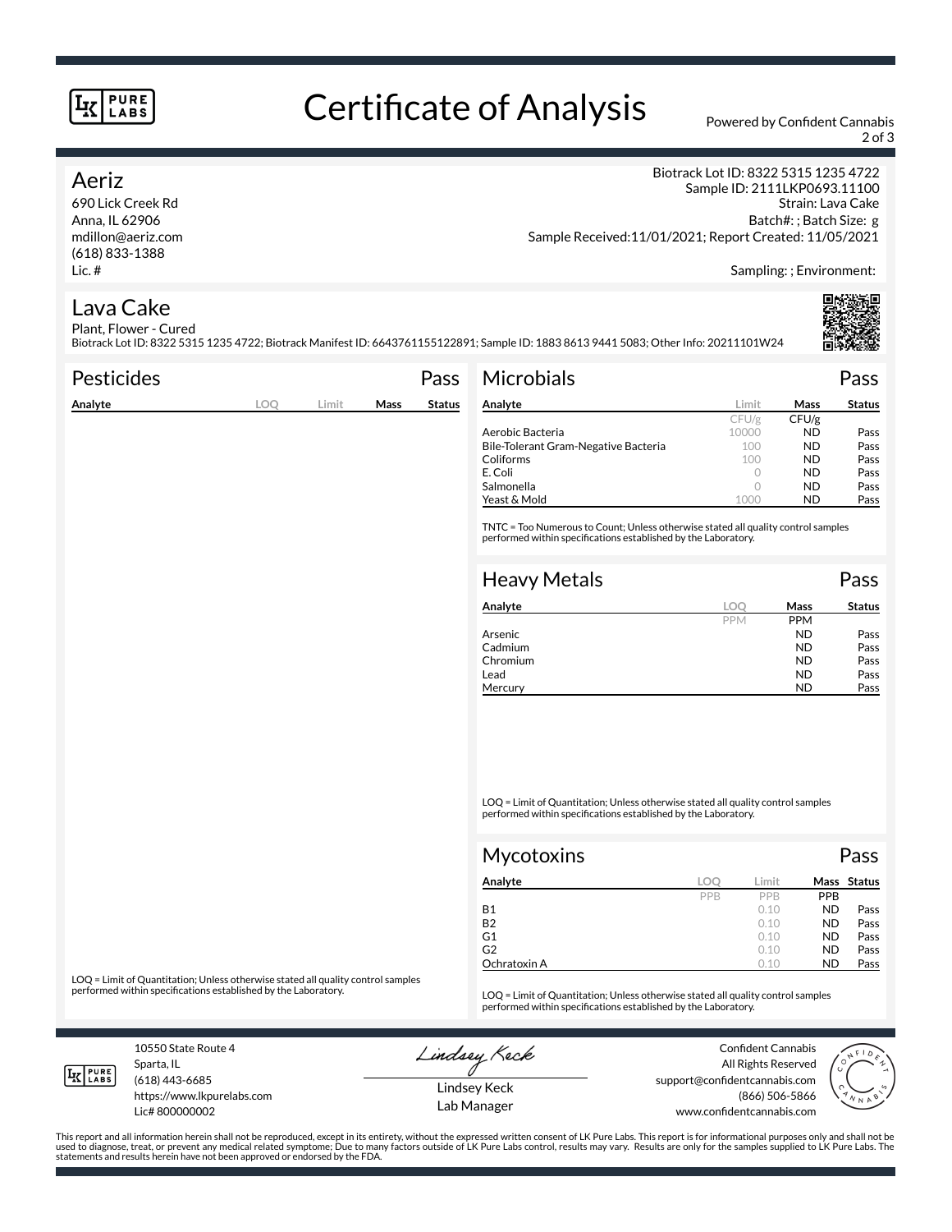#### **PURE LABS**

# Certificate of Analysis Powered by Confident Cannabis

2 of 3

#### Aeriz

690 Lick Creek Rd Anna, IL 62906 mdillon@aeriz.com (618) 833-1388 Lic. #

Biotrack Lot ID: 8322 5315 1235 4722 Sample ID: 2111LKP0693.11100 Strain: Lava Cake Batch#: ; Batch Size: g Sample Received:11/01/2021; Report Created: 11/05/2021

Sampling: ; Environment:

### Lava Cake

Plant, Flower - Cured Biotrack Lot ID: 8322 5315 1235 4722; Biotrack Manifest ID: 6643761155122891; Sample ID: 1883 8613 9441 5083; Other Info: 20211101W24

| <b>Pesticides</b> |     |       |             | Pass          | <b>Microbials</b>                                                                                                                                   |            |             | Pass          |
|-------------------|-----|-------|-------------|---------------|-----------------------------------------------------------------------------------------------------------------------------------------------------|------------|-------------|---------------|
| Analyte           | LOQ | Limit | <b>Mass</b> | <b>Status</b> | Analyte                                                                                                                                             | Limit      | <b>Mass</b> | <b>Status</b> |
|                   |     |       |             |               |                                                                                                                                                     | CFU/g      | CFU/g       |               |
|                   |     |       |             |               | Aerobic Bacteria                                                                                                                                    | 10000      | ND.         | Pass          |
|                   |     |       |             |               | Bile-Tolerant Gram-Negative Bacteria                                                                                                                | 100        | <b>ND</b>   | Pass          |
|                   |     |       |             |               | Coliforms                                                                                                                                           | 100        | <b>ND</b>   | Pass          |
|                   |     |       |             |               | E. Coli                                                                                                                                             | $\circ$    | <b>ND</b>   | Pass          |
|                   |     |       |             |               | Salmonella                                                                                                                                          | $\circ$    | <b>ND</b>   | Pass          |
|                   |     |       |             |               | Yeast & Mold                                                                                                                                        | 1000       | <b>ND</b>   | Pass          |
|                   |     |       |             |               | TNTC = Too Numerous to Count; Unless otherwise stated all quality control samples<br>performed within specifications established by the Laboratory. |            |             |               |
|                   |     |       |             |               | <b>Heavy Metals</b>                                                                                                                                 |            |             | Pass          |
|                   |     |       |             |               | Analyte                                                                                                                                             | LOO        | Mass        | <b>Status</b> |
|                   |     |       |             |               |                                                                                                                                                     | <b>PPM</b> | <b>PPM</b>  |               |
|                   |     |       |             |               | Arsenic                                                                                                                                             |            | <b>ND</b>   | Pass          |

LOQ = Limit of Quantitation; Unless otherwise stated all quality control samples performed within specifications established by the Laboratory.

| Mycotoxins   |     |       |            | Pass        |
|--------------|-----|-------|------------|-------------|
| Analyte      | LOC | Limit |            | Mass Status |
|              | PPB | PPB   | <b>PPB</b> |             |
| <b>B1</b>    |     | 0.10  | <b>ND</b>  | Pass        |
| <b>B2</b>    |     | 0.10  | <b>ND</b>  | Pass        |
| G1           |     | 0.10  | <b>ND</b>  | Pass        |
| G2           |     | 0.10  | <b>ND</b>  | Pass        |
| Ochratoxin A |     | 0.10  | <b>ND</b>  | Pass        |

Cadmium ND Pass<br>
Chromium ND Pass

Lead **ND** Pass Mercury **ND** Pass

Chromium ND<br>Lead ND

LOQ = Limit of Quantitation; Unless otherwise stated all quality control samples<br>performed within specifications established by the Laboratory.

LOQ = Limit of Quantitation; Unless otherwise stated all quality control samples performed within specifications established by the Laboratory.

10550 State Route 4 Sparta, IL (618) 443-6685

**LK** LABS

Lic# 800000002

https://www.lkpurelabs.com

Lindsey Keck

Confident Cannabis All Rights Reserved support@confidentcannabis.com (866) 506-5866 www.confidentcannabis.com



This report and all information herein shall not be reproduced, except in its entirety, without the expressed written consent of LK Pure Labs. This report is for informational purposes only and shall not be<br>used to diagnos statements and results herein have not been approved or endorsed by the FDA.

Lindsey Keck Lab Manager